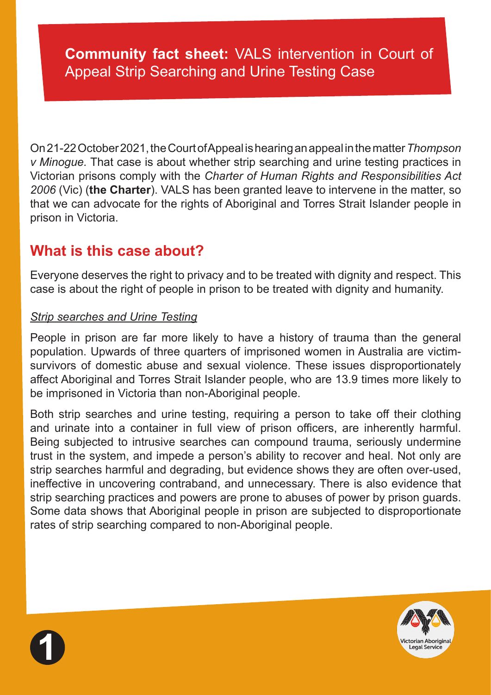# **Community fact sheet:** VALS intervention in Court of Appeal Strip Searching and Urine Testing Case

On 21-22 October 2021, the Court of Appeal is hearing an appeal in the matter *Thompson v Minogue.* That case is about whether strip searching and urine testing practices in Victorian prisons comply with the *Charter of Human Rights and Responsibilities Act 2006* (Vic) (**the Charter**). VALS has been granted leave to intervene in the matter, so that we can advocate for the rights of Aboriginal and Torres Strait Islander people in prison in Victoria.

# **What is this case about?**

Everyone deserves the right to privacy and to be treated with dignity and respect. This case is about the right of people in prison to be treated with dignity and humanity.

#### *Strip searches and Urine Testing*

People in prison are far more likely to have a history of trauma than the general population. Upwards of three quarters of imprisoned women in Australia are victimsurvivors of domestic abuse and sexual violence. These issues disproportionately affect Aboriginal and Torres Strait Islander people, who are 13.9 times more likely to be imprisoned in Victoria than non-Aboriginal people.

Both strip searches and urine testing, requiring a person to take off their clothing and urinate into a container in full view of prison officers, are inherently harmful. Being subjected to intrusive searches can compound trauma, seriously undermine trust in the system, and impede a person's ability to recover and heal. Not only are strip searches harmful and degrading, but evidence shows they are often over-used, ineffective in uncovering contraband, and unnecessary. There is also evidence that strip searching practices and powers are prone to abuses of power by prison guards. Some data shows that Aboriginal people in prison are subjected to disproportionate rates of strip searching compared to non-Aboriginal people.



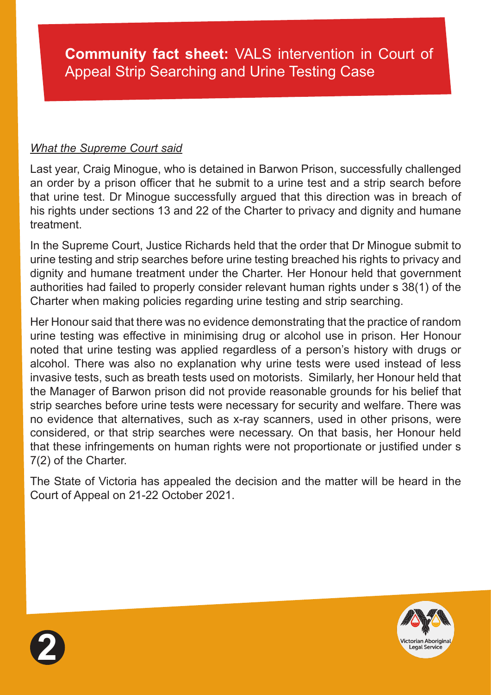#### *What the Supreme Court said*

Last year, Craig Minogue, who is detained in Barwon Prison, successfully challenged an order by a prison officer that he submit to a urine test and a strip search before that urine test. Dr Minogue successfully argued that this direction was in breach of his rights under sections 13 and 22 of the Charter to privacy and dignity and humane treatment.

In the Supreme Court, Justice Richards held that the order that Dr Minogue submit to urine testing and strip searches before urine testing breached his rights to privacy and dignity and humane treatment under the Charter. Her Honour held that government authorities had failed to properly consider relevant human rights under s 38(1) of the Charter when making policies regarding urine testing and strip searching.

Her Honour said that there was no evidence demonstrating that the practice of random urine testing was effective in minimising drug or alcohol use in prison. Her Honour noted that urine testing was applied regardless of a person's history with drugs or alcohol. There was also no explanation why urine tests were used instead of less invasive tests, such as breath tests used on motorists. Similarly, her Honour held that the Manager of Barwon prison did not provide reasonable grounds for his belief that strip searches before urine tests were necessary for security and welfare. There was no evidence that alternatives, such as x-ray scanners, used in other prisons, were considered, or that strip searches were necessary. On that basis, her Honour held that these infringements on human rights were not proportionate or justified under s 7(2) of the Charter.

The State of Victoria has appealed the decision and the matter will be heard in the Court of Appeal on 21-22 October 2021.



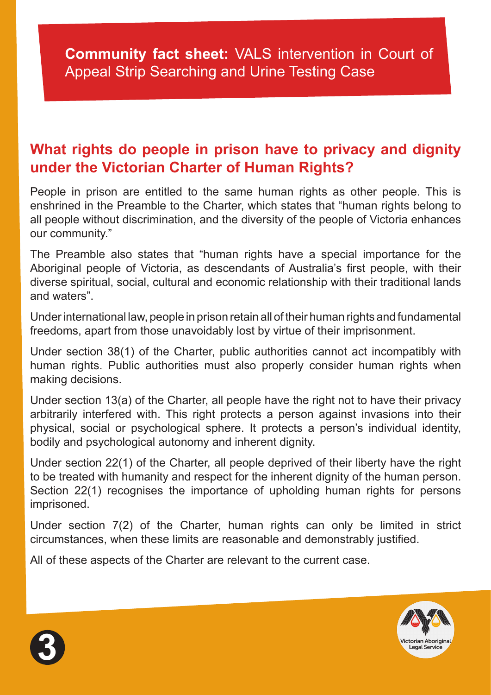## **Community fact sheet:** VALS intervention in Court of Appeal Strip Searching and Urine Testing Case

### **What rights do people in prison have to privacy and dignity under the Victorian Charter of Human Rights?**

People in prison are entitled to the same human rights as other people. This is enshrined in the Preamble to the Charter, which states that "human rights belong to all people without discrimination, and the diversity of the people of Victoria enhances our community."

The Preamble also states that "human rights have a special importance for the Aboriginal people of Victoria, as descendants of Australia's first people, with their diverse spiritual, social, cultural and economic relationship with their traditional lands and waters".

Under international law, people in prison retain all of their human rights and fundamental freedoms, apart from those unavoidably lost by virtue of their imprisonment.

Under section 38(1) of the Charter, public authorities cannot act incompatibly with human rights. Public authorities must also properly consider human rights when making decisions.

Under section 13(a) of the Charter, all people have the right not to have their privacy arbitrarily interfered with. This right protects a person against invasions into their physical, social or psychological sphere. It protects a person's individual identity, bodily and psychological autonomy and inherent dignity.

Under section 22(1) of the Charter, all people deprived of their liberty have the right to be treated with humanity and respect for the inherent dignity of the human person. Section 22(1) recognises the importance of upholding human rights for persons imprisoned.

Under section 7(2) of the Charter, human rights can only be limited in strict circumstances, when these limits are reasonable and demonstrably justified.

All of these aspects of the Charter are relevant to the current case.



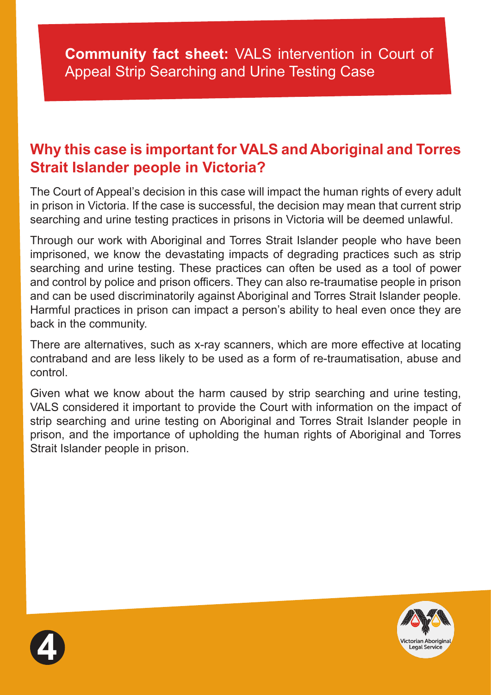# **Why this case is important for VALS and Aboriginal and Torres Strait Islander people in Victoria?**

The Court of Appeal's decision in this case will impact the human rights of every adult in prison in Victoria. If the case is successful, the decision may mean that current strip searching and urine testing practices in prisons in Victoria will be deemed unlawful.

Through our work with Aboriginal and Torres Strait Islander people who have been imprisoned, we know the devastating impacts of degrading practices such as strip searching and urine testing. These practices can often be used as a tool of power and control by police and prison officers. They can also re-traumatise people in prison and can be used discriminatorily against Aboriginal and Torres Strait Islander people. Harmful practices in prison can impact a person's ability to heal even once they are back in the community.

There are alternatives, such as x-ray scanners, which are more effective at locating contraband and are less likely to be used as a form of re-traumatisation, abuse and control.

Given what we know about the harm caused by strip searching and urine testing, VALS considered it important to provide the Court with information on the impact of strip searching and urine testing on Aboriginal and Torres Strait Islander people in prison, and the importance of upholding the human rights of Aboriginal and Torres Strait Islander people in prison.